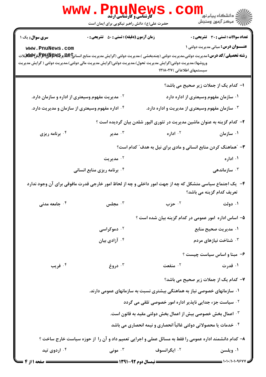|                                                 | www.PnuNews<br><b>کارشناسی و کارشناسی ارشد</b><br>حضرت علی(ع): دانش راهبر نیکویی برای ایمان است                                                                                                                                                                                                                       |                                                                           |                                                                                           |
|-------------------------------------------------|-----------------------------------------------------------------------------------------------------------------------------------------------------------------------------------------------------------------------------------------------------------------------------------------------------------------------|---------------------------------------------------------------------------|-------------------------------------------------------------------------------------------|
| سری سوال: یک ۱<br>www.PnuNews.com               | <b>زمان آزمون (دقیقه) : تستی : 50 ٪ تشریحی : 0</b><br><b>رشته تحصیلی/کد درس:</b> مدیریت دولتی،مدیریت دولتی (چندبخشی )،مدیریت دولتی (گرایش مدیریت منابع انسان <b>ج D.R <u>و P</u>yyy الی(R ش»لاتی</b> لات<br>وروشها)،مدیریت دولتی(گرایش مدیریت تحول)،مدیریت دولتی(گرایش مدیریت مالی دولتی)،مدیریت دولتی ( گرایش مدیریت | سیستمهای اطلاعاتی )۱۲۱۸۰۲۷                                                | <b>تعداد سوالات : تستی : 30 ٪ تشریحی : 0</b><br><b>عنـــوان درس:</b> مبانی مدیریت دولتی ۱ |
|                                                 |                                                                                                                                                                                                                                                                                                                       |                                                                           | ا- کدام یک از جملات زیر صحیح می باشد؟                                                     |
|                                                 | <sup>۲ .</sup> مدیریت مفهوم وسیعتری از اداره و سازمان دارد.                                                                                                                                                                                                                                                           |                                                                           | ۰۱ سازمان مفهوم وسیعتری از اداره دارد                                                     |
| ۰۴ اداره مفهوم وسیعتری از سازمان و مدیریت دارد. |                                                                                                                                                                                                                                                                                                                       | ۰۳ سازمان مفهوم وسیعتری از مدیریت و اداره دارد.                           |                                                                                           |
|                                                 |                                                                                                                                                                                                                                                                                                                       | ۲- کدام گزینه به عنوان ماشین مدیریت در تئوری الیور شلدن بیان گردیده است ؟ |                                                                                           |
| ۰۴ برنامه ریزی                                  | مدير $\cdot$                                                                                                                                                                                                                                                                                                          | ۰ <sup>۲</sup> اداره                                                      | ۰۱ سازمان                                                                                 |
|                                                 |                                                                                                                                                                                                                                                                                                                       | ۳- ″هماهنگ کردن منابع انسانی و مادی برای نیل به هدف″ کدام است؟            |                                                                                           |
|                                                 | ۰۲ مدیریت                                                                                                                                                                                                                                                                                                             |                                                                           | ۰۱ اداره                                                                                  |
|                                                 | ۰۴ برنامه ریزی منابع انسانی                                                                                                                                                                                                                                                                                           |                                                                           | سازماندهی $\cdot$ "                                                                       |
|                                                 | ۴-۔ یک اجتماع سیاسی متشکل که چه از جهت امور داخلی و چه از لحاظ امور خارجی قدرت مافوقی برای آن وجود ندارد                                                                                                                                                                                                              |                                                                           | تعریف کدام گزینه می باشد؟                                                                 |
| ۰۴ جامعه مدنی                                   | هجلس $\cdot$ ۳                                                                                                                                                                                                                                                                                                        | ۰۲ حزب                                                                    | ۰۱ دولت                                                                                   |
|                                                 |                                                                                                                                                                                                                                                                                                                       | ۵– اساس اداره امور عمومی در کدام گزینه بیان شده است ؟                     |                                                                                           |
|                                                 | ۰ <sup>۲</sup> دموکراسی                                                                                                                                                                                                                                                                                               | ۰۱ مدیریت صحیح منابع                                                      |                                                                                           |
| ۰ <sup>۴</sup> آزادی بیان                       |                                                                                                                                                                                                                                                                                                                       | ۰ <sup>۳</sup> شناخت نیازهای مردم                                         |                                                                                           |
|                                                 |                                                                                                                                                                                                                                                                                                                       |                                                                           | ۶- مبنا و اساس سیاست چیست ؟                                                               |
| ۰۴ فريب                                         | دروغ $\cdot^{\mathsf{r}}$                                                                                                                                                                                                                                                                                             | ۰۲ منفعت                                                                  | ۰۱ قدرت                                                                                   |
|                                                 |                                                                                                                                                                                                                                                                                                                       |                                                                           | ۷- کدام یک از جملات زیر صحیح می باشد؟                                                     |
|                                                 |                                                                                                                                                                                                                                                                                                                       | ۰۱ سازمانهای خصوصی نیاز به هماهنگی بیشتری نسبت به سازمانهای عمومی دارند.  |                                                                                           |
|                                                 |                                                                                                                                                                                                                                                                                                                       | <sup>۲.</sup> سیاست جزء جدایی ناپذیر اداره امور خصوصی تلقی می گردد        |                                                                                           |
|                                                 |                                                                                                                                                                                                                                                                                                                       | <b>4 . اعمال بخش خصوصی بیش از اعمال بخش دولتی مقید به قانون است.</b>      |                                                                                           |
|                                                 |                                                                                                                                                                                                                                                                                                                       | ۰۴ خدمات یا محصولاتی دولتی غالباً انحصاری و نیمه انحصاری می باشد          |                                                                                           |
|                                                 | ۸– کدام دانشمند اداره عمومی را فقط به مسائل عملی و اجرایی تعمیم داد و آن را از حوزه سیاست خارج ساخت ؟                                                                                                                                                                                                                 |                                                                           |                                                                                           |
| ۰۴ اردوی تید                                    | ۰۳ مونی $\cdot$                                                                                                                                                                                                                                                                                                       | ۰۲ ایگرانسوف                                                              | ۰۱ ویلسن                                                                                  |
| صفحه ۱ از ۴                                     |                                                                                                                                                                                                                                                                                                                       |                                                                           |                                                                                           |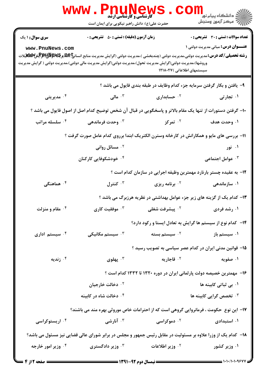|                            | <b>WWW</b><br>PAUNEWS<br><b>5 کارشناسی و کارشناسی ارشد</b><br>حضرت علی(ع): دانش راهبر نیکویی برای ایمان است                                                                                                                                               |                                                                                                            | ر دانشڪاه پيام نور ■<br> /> مرکز آزمون وسنڊش |
|----------------------------|-----------------------------------------------------------------------------------------------------------------------------------------------------------------------------------------------------------------------------------------------------------|------------------------------------------------------------------------------------------------------------|----------------------------------------------|
| <b>سری سوال : ۱ یک</b>     | <b>زمان آزمون (دقیقه) : تستی : 50 ٪ تشریحی : 0</b>                                                                                                                                                                                                        |                                                                                                            | <b>تعداد سوالات : تستی : 30 ٪ تشریحی : 0</b> |
| www.PnuNews.com            | <b>رشته تحصیلی/کد درس:</b> مدیریت دولتی،مدیریت دولتی (چندبخشی )،مدیریت دولتی (گرایش مدیریت منابع انسان <b>ج یک پیچیلاپار پیس کلیلات</b> یلات<br>وروشها)،مدیریت دولتی(گرایش مدیریت تحول)،مدیریت دولتی(گرایش مدیریت مالی دولتی)،مدیریت دولتی ( گرایش مدیریت | سیستمهای اطلاعاتی )۱۲۱۸۰۲۷                                                                                 | <b>عنـــوان درس:</b> مبانی مدیریت دولتی ۱    |
|                            |                                                                                                                                                                                                                                                           | ۹- یافتن و بکار گرفتن سرمایه جزء کدام وظایف در طبقه بندی فایول می باشد ؟                                   |                                              |
| ۰ <sup>۴</sup> مدیریتی     | ا مالی $\cdot$ "                                                                                                                                                                                                                                          | ۰ <sup>۲</sup> حسابداری                                                                                    | ۰۱ تجارتی                                    |
|                            | ∙ا− گرفتن دستورات از تنها یک مقام بالاتر و پاسخگویی در قبال آن شخص توضیح کدام اصل از اصول فایول می باشد ؟                                                                                                                                                 |                                                                                                            |                                              |
| ۰۴ سلسله مراتب             | وحدت فرماندهی $\cdot^{\mathsf{v}}$                                                                                                                                                                                                                        | ۰ <sup>۲</sup> تمرکز                                                                                       | ١. وحدت هدف                                  |
|                            | 11- بررسی های مایو و همکارانش در کارخانه وسترن الکتریک ابتدا برروی کدام عامل صورت گرفت ؟                                                                                                                                                                  |                                                                                                            |                                              |
|                            | ۰ <sup>۲</sup> مسائل روانی                                                                                                                                                                                                                                |                                                                                                            | ۰۱ نور                                       |
|                            | ۰۴ خودشکوفایی کارکنان                                                                                                                                                                                                                                     |                                                                                                            | ۰۳ عوامل اجتماعی                             |
|                            |                                                                                                                                                                                                                                                           | ۱۲– به عقیده چستر بارنارد مهمترین وظیفه اجرایی در سازمان کدام است ؟                                        |                                              |
| هماهنگی $\cdot$ ۴          | کنترل $\cdot^{\mathsf{r}}$                                                                                                                                                                                                                                | <sup>7.</sup> برنامه ریزی                                                                                  | ۰۱ سازماندهی                                 |
|                            |                                                                                                                                                                                                                                                           | ۱۳- کدام یک از گزینه های زیر جزء عوامل بهداشتی در نظریه هرزبرگ می باشد ؟                                   |                                              |
| ۰۴ مقام و منزلت            |                                                                                                                                                                                                                                                           | ا رشد فردی مسلمان استان کاری به موفقیت کاری $\cdot$ استان استان کاری استان کاری $\cdot$ استان کاری $\cdot$ |                                              |
|                            |                                                                                                                                                                                                                                                           | ۱۴- کدام نوع از سیستم ها گرایش به تعادل ایستا و رکود دارد؟                                                 |                                              |
| ۰۴ سیستم اداری             | سیستم مکانیکی $\cdot^{\mathtt{w}}$                                                                                                                                                                                                                        | ۰ <sup>۲</sup> سیستم بسته                                                                                  | ۰۱ سیستم باز                                 |
|                            |                                                                                                                                                                                                                                                           | ۱۵– قوانین مدنی ایران در کدام عصر سیاسی به تصویب رسید ؟                                                    |                                              |
| ۰۴ زندیه                   | بهلوی $\cdot^{\mathsf{r}}$                                                                                                                                                                                                                                | ۰ <sup>۲</sup> قاجاریه                                                                                     | ۰۱ صفویه                                     |
|                            | ۱۶– مهمترین خصیصه دولت پارلمانی ایران در دوره ۱۳۲۰ تا ۱۳۳۲ کدام است ؟                                                                                                                                                                                     |                                                                                                            |                                              |
|                            | ۰ <sup>۲</sup> دخالت خارجیان                                                                                                                                                                                                                              |                                                                                                            | ۰۱ بی ثباتی کابینه ها                        |
|                            | ۰۴ دخالت شاه در کابینه                                                                                                                                                                                                                                    |                                                                                                            | ۰۳ تخصص گرایی کابینه ها                      |
|                            | ۱۷– این نوع ً حکومت ، فرمانروایی گروهی است که از احترامات خاص موروثی بهره مند می باشند؟                                                                                                                                                                   |                                                                                                            |                                              |
| ۰ <sup>۴</sup> اریستوکراسی | ۰ <sup>۳</sup> آنارشی                                                                                                                                                                                                                                     | ۰ <sup>۲</sup> دموکراسی                                                                                    | ۰۱ استبدادی                                  |
|                            | ۱۸– کدام یک از وزرا علاوه بر مسئولیت در مقابل رئیس جمهور و مجلس در برابر شورای عالی قضایی نیز مسئول می باشد؟                                                                                                                                              |                                                                                                            |                                              |
| ۰۴ وزیر امور خارجه         | وزیر دادگستری $\cdot^{\mathsf{\texttt{w}}}$                                                                                                                                                                                                               | <sup>۲.</sup> وزیر اطلاعات                                                                                 | ۰۱ وزیر کشور                                 |
| $= 6.47$ in $=$            |                                                                                                                                                                                                                                                           | $\frac{1}{2}$ (1941-47 and 11 and 2003)                                                                    | = 1.1./1.1.98VV =                            |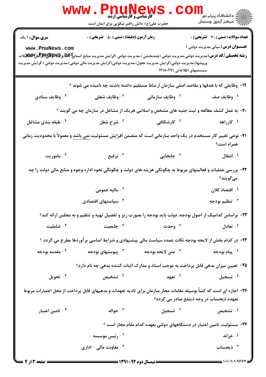|                                                                                                                                                              | <b>www.PnuNew!</b><br><b>کارشناسی و کارشناسی ارشد</b><br>حضرت علی(ع): دانش راهبر نیکویی برای ایمان است |                                                                                                                                                                                                                                                                                             | الاد دانشگاه پيام نور<br>الا دانشگاه پيام نور<br>الا                                      |  |
|--------------------------------------------------------------------------------------------------------------------------------------------------------------|--------------------------------------------------------------------------------------------------------|---------------------------------------------------------------------------------------------------------------------------------------------------------------------------------------------------------------------------------------------------------------------------------------------|-------------------------------------------------------------------------------------------|--|
| <b>سری سوال : ۱ یک</b><br>www.PnuNews.com                                                                                                                    | <b>زمان آزمون (دقیقه) : تستی : 50 ٪ تشریحی : 0</b>                                                     | <b>رشته تحصیلی/کد درس:</b> مدیریت دولتی،مدیریت دولتی (چندبخشی )،مدیریت دولتی (گرایش مدیریت منابع انسان <b>ئ D.R <u>و P</u>y پر MRگلالات</b> یلات<br>وروشها)،مدیریت دولتی(گرایش مدیریت تحول)،مدیریت دولتی(گرایش مدیریت مالی دولتی)،مدیریت دولتی ( گرایش مدیریت<br>سیستمهای اطلاعاتی )۱۲۱۸۰۲۷ | <b>تعداد سوالات : تستی : 30 ٪ تشریحی : 0</b><br><b>عنـــوان درس:</b> مبانی مدیریت دولتی ۱ |  |
|                                                                                                                                                              |                                                                                                        | ۱۹- وظایفی که با هدفها و مقاصد اصلی سازمان ارتباط مستقیم داشته باشند چه نامیده می شوند ؟                                                                                                                                                                                                    |                                                                                           |  |
| ۰۴ وظایف ستادی                                                                                                                                               | ۰۳ وظایف شغلی                                                                                          | ۰ <sup>۲</sup> وظایف سازمانی                                                                                                                                                                                                                                                                | ۰۱ وظایف صف                                                                               |  |
|                                                                                                                                                              |                                                                                                        | <b>۲۰</b> - به عمل کشف مطالعه و ثبت جنبه های مشخص و اسلامی هریک از مشاغل در سازمان چه می گویند ؟                                                                                                                                                                                            |                                                                                           |  |
| ۰ <sup>۴</sup> طبقه بندی مشاغل                                                                                                                               | ۰ <sup>۳</sup> شرح شغل                                                                                 | <sup>۲.</sup> کارشکافی                                                                                                                                                                                                                                                                      | ۰۱ کارراهه                                                                                |  |
|                                                                                                                                                              |                                                                                                        | <b>۳۱</b> – نوعی تغییر کار مستخدم در یک واحد سازمانی است که متضمن افزایش مسئولیت <u>نمی باشد</u> و معمولاً با محدودیت زمانی                                                                                                                                                                 | همراه است؟                                                                                |  |
| ۰ <sup>۴</sup> ماموریت                                                                                                                                       | ۰۳ ترفیع                                                                                               | ۲. جابجایی                                                                                                                                                                                                                                                                                  | ۰۱ انتقال                                                                                 |  |
| ۲۲- بررسی عملیات و فعالیتهای مربوط به چگونگی هزینه های دولت و چگونگی نحوه اداره وجوه و منابع مالی دولت را چه<br>ميگويند؟                                     |                                                                                                        |                                                                                                                                                                                                                                                                                             |                                                                                           |  |
|                                                                                                                                                              | ۰۲ مالیه عمومی                                                                                         |                                                                                                                                                                                                                                                                                             | ۰۱ اقتصاد کلان                                                                            |  |
|                                                                                                                                                              | ۰۴ سیاستهای اقتصادی $\cdot$ ۴                                                                          |                                                                                                                                                                                                                                                                                             | ننظیم بودجه $\cdot$ ۳                                                                     |  |
| ۲۳- براساس کدامیک از اصول بودجه، دولت باید بودجه را بصورت ریز و تفضیل تهیه و تنظیم و به مجلس ارائه کند؟                                                      |                                                                                                        |                                                                                                                                                                                                                                                                                             |                                                                                           |  |
| شاملیت $\cdot$ ۴                                                                                                                                             | ا جامعیت $\cdot$                                                                                       | ۰۲ وحدت                                                                                                                                                                                                                                                                                     | ۰۱ تعادل                                                                                  |  |
| ۲۴- در کدام بخش از لایحه بودجه نکات عمده سیاست مالی پیشنهادی و شرایط اساسی برآوردها مطرح می گردد ؟                                                           |                                                                                                        |                                                                                                                                                                                                                                                                                             |                                                                                           |  |
| ۰۴ مقدمه بودجه                                                                                                                                               | يوستهای بودجه $\cdot^{\textsf{v}}$                                                                     | ۰ <sup>۲</sup> متن لايحه بودجه                                                                                                                                                                                                                                                              | ۰۱ پیام بودجه                                                                             |  |
|                                                                                                                                                              |                                                                                                        | ۲۵- تعیین میزان بدهی قابل پرداخت به موجب اسناد و مدارک اثبات کننده بدهی چه نام دارد؟                                                                                                                                                                                                        |                                                                                           |  |
| ۰۴ تحویل                                                                                                                                                     | ۰۳ تشخیص                                                                                               | ۰۲ تعهد                                                                                                                                                                                                                                                                                     | ۰۱ تسجيل                                                                                  |  |
| ۲۶– اجازه ای است که کتباً بوسیله مقامات مجاز سازمان برای تادیه تعهدات و بدهیهای قابل پرداخت از محل اعتبارات مربوط<br>بعهده ذیحساب در وجه ذینفع صادر می گردد؟ |                                                                                                        |                                                                                                                                                                                                                                                                                             |                                                                                           |  |
| تامین اعتبار $\cdot$ ۴                                                                                                                                       | ۰۳ حواله                                                                                               | اسجيل $\cdot$ ۲ تسجيل $\cdot$                                                                                                                                                                                                                                                               | ۰۱ تشخیص                                                                                  |  |
|                                                                                                                                                              |                                                                                                        | ۲۷– مسئولیت تامین اعتبار در دستگاههای دولتی بعهده کدام مقام مجاز است ؟                                                                                                                                                                                                                      |                                                                                           |  |
|                                                                                                                                                              | <sup>۲ .</sup> رئیس موسسه                                                                              |                                                                                                                                                                                                                                                                                             | ۰۱ خزانه                                                                                  |  |
|                                                                                                                                                              | ۰۴ معاونت مالی - اداری                                                                                 |                                                                                                                                                                                                                                                                                             | ۰۳ ذیحساب                                                                                 |  |
| <b>= صفحه 3 از 4 =</b>                                                                                                                                       |                                                                                                        | <b>ــــ نیمسال دوم ۹۲-۱۳۹۱ ـــــ</b>                                                                                                                                                                                                                                                        | $= 1.1.11.1.9844$                                                                         |  |